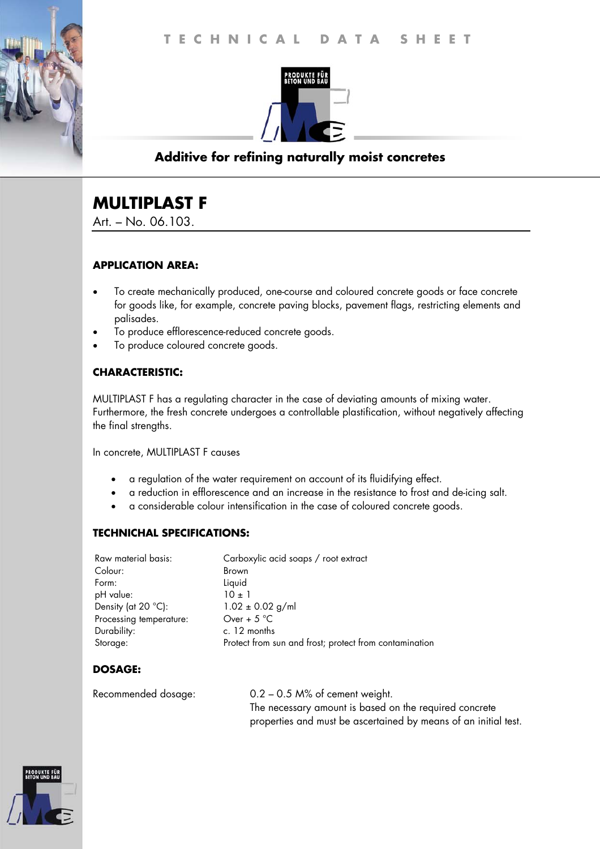

## **Additive for refining naturally moist concretes**

# **MULTIPLAST F**

Art. – No. 06.103.

### **APPLICATION AREA:**

- To create mechanically produced, one-course and coloured concrete goods or face concrete for goods like, for example, concrete paving blocks, pavement flags, restricting elements and palisades.
- To produce efflorescence-reduced concrete goods.
- To produce coloured concrete goods.

### **CHARACTERISTIC:**

MULTIPLAST F has a regulating character in the case of deviating amounts of mixing water. Furthermore, the fresh concrete undergoes a controllable plastification, without negatively affecting the final strengths.

In concrete, MULTIPLAST F causes

- a regulation of the water requirement on account of its fluidifying effect.
- a reduction in efflorescence and an increase in the resistance to frost and de-icing salt.
- a considerable colour intensification in the case of coloured concrete goods.

### **TECHNICHAL SPECIFICATIONS:**

| Raw material basis:          | Carboxylic acid soaps / root extract                   |
|------------------------------|--------------------------------------------------------|
| Colour:                      | <b>Brown</b>                                           |
| Form:                        | Liquid                                                 |
| pH value:                    | $10 \pm 1$                                             |
| Density (at $20^{\circ}$ C): | $1.02 \pm 0.02$ g/ml                                   |
| Processing temperature:      | Over + $5^{\circ}$ C                                   |
| Durability:                  | c. 12 months                                           |
| Storage:                     | Protect from sun and frost; protect from contamination |

### **DOSAGE:**

Recommended dosage: 0.2 – 0.5 M% of cement weight. The necessary amount is based on the required concrete properties and must be ascertained by means of an initial test.